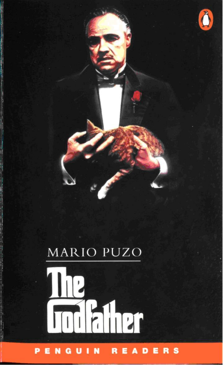

# MARIO PUZO mdalher

**NGUIN READERS** P Е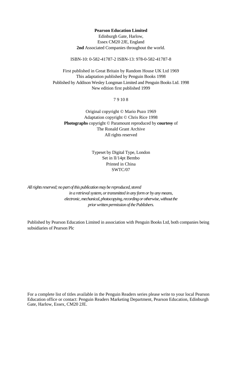#### **Pearson Education Limited**

Edinburgh Gate, Harlow, Essex CM20 2JE, England **2nd** Associated Companies throughout the world.

ISBN-10: 0-582-41787-2 ISBN-13: 978-0-582-41787-8

First published in Great Britain by Random House UK Ltd 1969 This adaptation published by Penguin Books 1998 Published by Addison Wesley Longman Limited and Penguin Books Ltd. 1998 New edition first published 1999

7 9 10 8

Original copyright © Mario Puzo 1969 Adaptation copyright © Chris Rice 1998 **Photographs** copyright © Paramount reproduced by **courtesy** of The Ronald Grant Archive All rights reserved

> Typeset by Digital Type, London Set in ll/14pt Bembo Printed in China SWTC/07

*All rights reserved; no part of this publication may be reproduced, stored in a retrieval system, or transmitted in any form or by any means, electronic, mechanical, photocopying, recording or otherwise, without the prior written permission of the Publishers.*

Published by Pearson Education Limited in association with Penguin Books Ltd, both companies being subsidiaries of Pearson Plc

For a complete list of titles available in the Penguin Readers series please write to your local Pearson Education office or contact: Penguin Readers Marketing Department, Pearson Education, Edinburgh Gate, Harlow, Essex, CM20 2JE.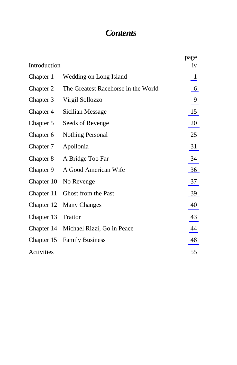# *Contents*

|              |                                     | page |
|--------------|-------------------------------------|------|
| Introduction | iv                                  |      |
| Chapter 1    | Wedding on Long Island              | 1    |
| Chapter 2    | The Greatest Racehorse in the World | 6    |
| Chapter 3    | Virgil Sollozzo                     | 9    |
| Chapter 4    | Sicilian Message                    | 15   |
| Chapter 5    | Seeds of Revenge                    | 20   |
| Chapter 6    | Nothing Personal                    | 25   |
| Chapter 7    | Apollonia                           | 31   |
| Chapter 8    | A Bridge Too Far                    | 34   |
| Chapter 9    | A Good American Wife                | 36   |
| Chapter 10   | No Revenge                          | 37   |
| Chapter 11   | <b>Ghost from the Past</b>          | 39   |
| Chapter 12   | Many Changes                        | 40   |
| Chapter 13   | Traitor                             | 43   |
| Chapter 14   | Michael Rizzi, Go in Peace          | 44   |
| Chapter 15   | <b>Family Business</b>              | 48   |
| Activities   |                                     | 55   |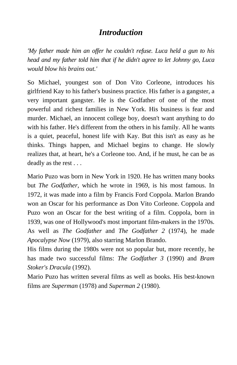# *Introduction*

*'My father made him an offer he couldn't refuse. Luca held a gun to his head and my father told him that if he didn't agree to let Johnny go, Luca would blow his brains out.'*

So Michael, youngest son of Don Vito Corleone, introduces his girlfriend Kay to his father's business practice. His father is a gangster, a very important gangster. He is the Godfather of one of the most powerful and richest families in New York. His business is fear and murder. Michael, an innocent college boy, doesn't want anything to do with his father. He's different from the others in his family. All he wants is a quiet, peaceful, honest life with Kay. But this isn't as easy as he thinks. Things happen, and Michael begins to change. He slowly realizes that, at heart, he's a Corleone too. And, if he must, he can be as deadly as the rest . . .

Mario Puzo was born in New York in 1920. He has written many books but *The Godfather,* which he wrote in 1969, is his most famous. In 1972, it was made into a film by Francis Ford Coppola. Marlon Brando won an Oscar for his performance as Don Vito Corleone. Coppola and Puzo won an Oscar for the best writing of a film. Coppola, born in 1939, was one of Hollywood's most important film-makers in the 1970s. As well as *The Godfather* and *The Godfather 2* (1974), he made *Apocalypse Now* (1979), also starring Marlon Brando.

His films during the 1980s were not so popular but, more recently, he has made two successful films: *The Godfather 3* (1990) and *Bram Stoker's Dracula* (1992).

Mario Puzo has written several films as well as books. His best-known films are *Superman* (1978) and *Superman 2* (1980).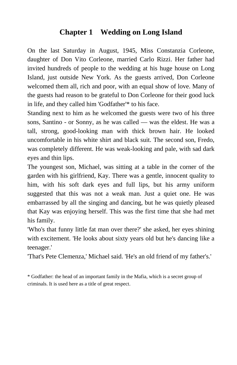# **Chapter 1 Wedding on Long Island**

<span id="page-4-0"></span>On the last Saturday in August, 1945, Miss Constanzia Corleone, daughter of Don Vito Corleone, married Carlo Rizzi. Her father had invited hundreds of people to the wedding at his huge house on Long Island, just outside New York. As the guests arrived, Don Corleone welcomed them all, rich and poor, with an equal show of love. Many of the guests had reason to be grateful to Don Corleone for their good luck in life, and they called him 'Godfather'\* to his face.

Standing next to him as he welcomed the guests were two of his three sons, Santino - or Sonny, as he was called — was the eldest. He was a tall, strong, good-looking man with thick brown hair. He looked uncomfortable in his white shirt and black suit. The second son, Fredo, was completely different. He was weak-looking and pale, with sad dark eyes and thin lips.

The youngest son, Michael, was sitting at a table in the corner of the garden with his girlfriend, Kay. There was a gentle, innocent quality to him, with his soft dark eyes and full lips, but his army uniform suggested that this was not a weak man. Just a quiet one. He was embarrassed by all the singing and dancing, but he was quietly pleased that Kay was enjoying herself. This was the first time that she had met his family.

'Who's that funny little fat man over there?' she asked, her eyes shining with excitement. 'He looks about sixty years old but he's dancing like a teenager.'

'That's Pete Clemenza,' Michael said. 'He's an old friend of my father's.'

\* Godfather: the head of an important family in the Mafia, which is a secret group of criminals. It is used here as a title of great respect.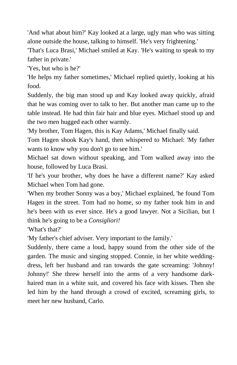'And what about him?' Kay looked at a large, ugly man who was sitting alone outside the house, talking to himself. 'He's very frightening.'

'That's Luca Brasi,' Michael smiled at Kay. 'He's waiting to speak to my father in private.'

'Yes, but who is he?'

'He helps my father sometimes,' Michael replied quietly, looking at his food.

Suddenly, the big man stood up and Kay looked away quickly, afraid that he was coming over to talk to her. But another man came up to the table instead. He had thin fair hair and blue eyes. Michael stood up and the two men hugged each other warmly.

'My brother, Tom Hagen, this is Kay Adams,' Michael finally said.

Tom Hagen shook Kay's hand, then whispered to Michael: 'My father wants to know why you don't go to see him.'

Michael sat down without speaking, and Tom walked away into the house, followed by Luca Brasi.

'If he's your brother, why does he have a different name?' Kay asked Michael when Tom had gone.

'When my brother Sonny was a boy,' Michael explained, 'he found Tom Hagen in the street. Tom had no home, so my father took him in and he's been with us ever since. He's a good lawyer. Not a Sicilian, but I think he's going to be a *Consigliori!*

'What's that?'

'My father's chief adviser. Very important to the family.'

Suddenly, there came a loud, happy sound from the other side of the garden. The music and singing stopped. Connie, in her white weddingdress, left her husband and ran towards the gate screaming: 'Johnny! Johnny!' She threw herself into the arms of a very handsome darkhaired man in a white suit, and covered his face with kisses. Then she led him by the hand through a crowd of excited, screaming girls, to meet her new husband, Carlo.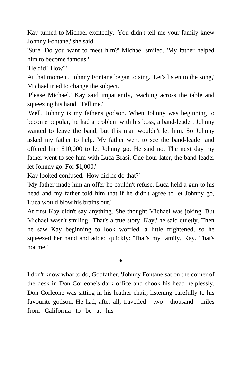Kay turned to Michael excitedly. 'You didn't tell me your family knew Johnny Fontane,' she said.

'Sure. Do you want to meet him?' Michael smiled. 'My father helped him to become famous.'

'He did? How?'

At that moment, Johnny Fontane began to sing. 'Let's listen to the song,' Michael tried to change the subject.

'Please Michael,' Kay said impatiently, reaching across the table and squeezing his hand. 'Tell me.'

'Well, Johnny is my father's godson. When Johnny was beginning to become popular, he had a problem with his boss, a band-leader. Johnny wanted to leave the band, but this man wouldn't let him. So Johnny asked my father to help. My father went to see the band-leader and offered him \$10,000 to let Johnny go. He said no. The next day my father went to see him with Luca Brasi. One hour later, the band-leader let Johnny go. For \$1,000.'

Kay looked confused. 'How did he do that?'

'My father made him an offer he couldn't refuse. Luca held a gun to his head and my father told him that if he didn't agree to let Johnny go, Luca would blow his brains out.'

At first Kay didn't say anything. She thought Michael was joking. But Michael wasn't smiling. 'That's a true story, Kay,' he said quietly. Then he saw Kay beginning to look worried, a little frightened, so he squeezed her hand and added quickly: 'That's my family, Kay. That's not me.'

I don't know what to do, Godfather. 'Johnny Fontane sat on the corner of the desk in Don Corleone's dark office and shook his head helplessly. Don Corleone was sitting in his leather chair, listening carefully to his favourite godson. He had, after all, travelled two thousand miles from California to be at his

**♦**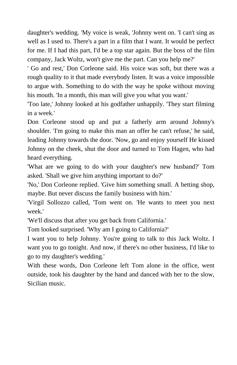daughter's wedding. 'My voice is weak, 'Johnny went on. 'I can't sing as well as I used to. There's a part in a film that I want. It would be perfect for me. If I had this part, I'd be a top star again. But the boss of the film company, Jack Woltz, won't give me the part. Can you help me?'

' Go and rest,' Don Corleone said. His voice was soft, but there was a rough quality to it that made everybody listen. It was a voice impossible to argue with. Something to do with the way he spoke without moving his mouth. 'In a month, this man will give you what you want.'

'Too late,' Johnny looked at his godfather unhappily. 'They start filming in a week<sup>'</sup>

Don Corleone stood up and put a fatherly arm around Johnny's shoulder. 'I'm going to make this man an offer he can't refuse,' he said, leading Johnny towards the door. 'Now, go and enjoy yourself He kissed Johnny on the cheek, shut the door and turned to Tom Hagen, who had heard everything.

'What are we going to do with your daughter's new husband?' Tom asked. 'Shall we give him anything important to do?'

'No,' Don Corleone replied. 'Give him something small. A betting shop, maybe. But never discuss the family business with him.'

'Virgil Sollozzo called, 'Tom went on. 'He wants to meet you next week<sup>'</sup>

'We'll discuss that after you get back from California.'

Tom looked surprised. 'Why am I going to California?'

I want you to help Johnny. You're going to talk to this Jack Woltz. I want you to go tonight. And now, if there's no other business, I'd like to go to my daughter's wedding.'

With these words, Don Corleone left Tom alone in the office, went outside, took his daughter by the hand and danced with her to the slow, Sicilian music.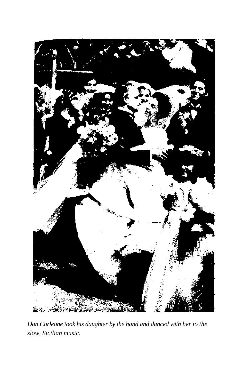

*Don Corleone took his daughter by the hand and danced with her to the slow, Sicilian music.*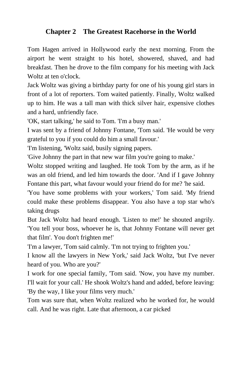# <span id="page-9-0"></span>**Chapter 2 The Greatest Racehorse in the World**

Tom Hagen arrived in Hollywood early the next morning. From the airport he went straight to his hotel, showered, shaved, and had breakfast. Then he drove to the film company for his meeting with Jack Woltz at ten o'clock.

Jack Woltz was giving a birthday party for one of his young girl stars in front of a lot of reporters. Tom waited patiently. Finally, Woltz walked up to him. He was a tall man with thick silver hair, expensive clothes and a hard, unfriendly face.

'OK, start talking,' he said to Tom. 'I'm a busy man.'

I was sent by a friend of Johnny Fontane, 'Tom said. 'He would be very grateful to you if you could do him a small favour.'

'I'm listening, 'Woltz said, busily signing papers.

'Give Johnny the part in that new war film you're going to make.'

Woltz stopped writing and laughed. He took Tom by the arm, as if he was an old friend, and led him towards the door. 'And if I gave Johnny Fontane this part, what favour would your friend do for me? 'he said.

'You have some problems with your workers,' Tom said. 'My friend could make these problems disappear. You also have a top star who's taking drugs

But Jack Woltz had heard enough. 'Listen to me!' he shouted angrily. 'You tell your boss, whoever he is, that Johnny Fontane will never get that film'. You don't frighten me!'

'I'm a lawyer, 'Tom said calmly. 'I'm not trying to frighten you.'

I know all the lawyers in New York,' said Jack Woltz, 'but I've never heard of you. Who are you?'

I work for one special family, 'Tom said. 'Now, you have my number. I'll wait for your call.' He shook Woltz's hand and added, before leaving: 'By the way, I like your films very much.'

Tom was sure that, when Woltz realized who he worked for, he would call. And he was right. Late that afternoon, a car picked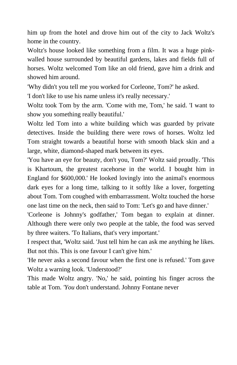him up from the hotel and drove him out of the city to Jack Woltz's home in the country.

Woltz's house looked like something from a film. It was a huge pinkwalled house surrounded by beautiful gardens, lakes and fields full of horses. Woltz welcomed Tom like an old friend, gave him a drink and showed him around.

'Why didn't you tell me you worked for Corleone, Tom?' he asked.

'I don't like to use his name unless it's really necessary.'

Woltz took Tom by the arm. 'Come with me, Tom,' he said. 'I want to show you something really beautiful.'

Woltz led Tom into a white building which was guarded by private detectives. Inside the building there were rows of horses. Woltz led Tom straight towards a beautiful horse with smooth black skin and a large, white, diamond-shaped mark between its eyes.

'You have an eye for beauty, don't you, Tom?' Woltz said proudly. 'This is Khartoum, the greatest racehorse in the world. I bought him in England for \$600,000.' He looked lovingly into the animal's enormous dark eyes for a long time, talking to it softly like a lover, forgetting about Tom. Tom coughed with embarrassment. Woltz touched the horse one last time on the neck, then said to Tom: 'Let's go and have dinner.'

'Corleone is Johnny's godfather,' Tom began to explain at dinner. Although there were only two people at the table, the food was served by three waiters. 'To Italians, that's very important.'

I respect that, 'Woltz said. 'Just tell him he can ask me anything he likes. But not this. This is one favour I can't give him.'

'He never asks a second favour when the first one is refused.' Tom gave Woltz a warning look. 'Understood?'

This made Woltz angry. 'No,' he said, pointing his finger across the table at Tom. *'You* don't understand. Johnny Fontane never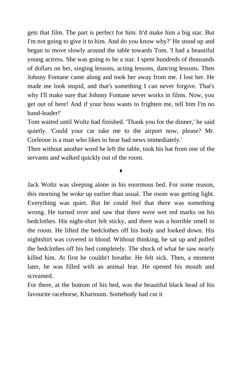gets that film. The part is perfect for him. It'd make him a big star. But I'm not going to give it to him. And do you know why?' He stood up and began to move slowly around the table towards Tom. 'I had a beautiful young actress. She was going to be a star. I spent hundreds of thousands of dollars on her, singing lessons, acting lessons, dancing lessons. Then Johnny Fontane came along and took her away from me. I lost her. He made me look stupid, and that's something I can never forgive. That's why I'll make sure that Johnny Fontane never works in films. Now, you get out of here! And if your boss wants to frighten me, tell him I'm no band-leader!'

Tom waited until Woltz had finished. 'Thank you for the dinner,' he said quietly. 'Could your car take me to the airport now, please? Mr. Corleone is a man who likes to hear bad news immediately.'

Then without another word he left the table, took his hat from one of the servants and walked quickly out of the room.

#### **♦**

Jack Woltz was sleeping alone in his enormous bed. For some reason, this morning he woke up earlier than usual. The room was getting light. Everything was quiet. But he could feel that there was something wrong. He turned over and saw that there were wet red marks on his bedclothes. His night-shirt felt sticky, and there was a horrible smell in the room. He lifted the bedclothes off his body and looked down. His nightshirt was covered in blood. Without thinking, he sat up and pulled the bedclothes off his bed completely. The shock of what he saw nearly killed him. At first he couldn't breathe. He felt sick. Then, a moment later, he was filled with an animal fear. He opened his mouth and screamed.

For there, at the bottom of his bed, was the beautiful black head of his favourite racehorse, Khartoum. Somebody had cut it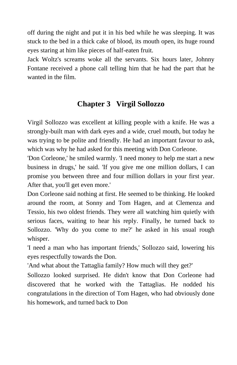<span id="page-12-0"></span>off during the night and put it in his bed while he was sleeping. It was stuck to the bed in a thick cake of blood, its mouth open, its huge round eyes staring at him like pieces of half-eaten fruit.

Jack Woltz's screams woke all the servants. Six hours later, Johnny Fontane received a phone call telling him that he had the part that he wanted in the film.

# **Chapter 3 Virgil Sollozzo**

Virgil Sollozzo was excellent at killing people with a knife. He was a strongly-built man with dark eyes and a wide, cruel mouth, but today he was trying to be polite and friendly. He had an important favour to ask, which was why he had asked for this meeting with Don Corleone.

'Don Corleone,' he smiled warmly. 'I need money to help me start a new business in drugs,' he said. 'If you give me one million dollars, I can promise you between three and four million dollars in your first year. After that, you'll get even more.'

Don Corleone said nothing at first. He seemed to be thinking. He looked around the room, at Sonny and Tom Hagen, and at Clemenza and Tessio, his two oldest friends. They were all watching him quietly with serious faces, waiting to hear his reply. Finally, he turned back to Sollozzo. 'Why do you come to me?' he asked in his usual rough whisper.

'I need a man who has important friends,' Sollozzo said, lowering his eyes respectfully towards the Don.

'And what about the Tattaglia family? How much will they get?'

Sollozzo looked surprised. He didn't know that Don Corleone had discovered that he worked with the Tattaglias. He nodded his congratulations in the direction of Tom Hagen, who had obviously done his homework, and turned back to Don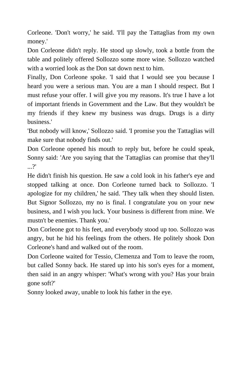Corleone. 'Don't worry,' he said. 'I'll pay the Tattaglias from my own money.'

Don Corleone didn't reply. He stood up slowly, took a bottle from the table and politely offered Sollozzo some more wine. Sollozzo watched with a worried look as the Don sat down next to him.

Finally, Don Corleone spoke. 'I said that I would see you because I heard you were a serious man. You are a man I should respect. But I must refuse your offer. I will give you my reasons. It's true I have a lot of important friends in Government and the Law. But they wouldn't be my friends if they knew my business was drugs. Drugs is a dirty business.'

'But nobody will know,' Sollozzo said. 'I promise you the Tattaglias will make sure that nobody finds out.'

Don Corleone opened his mouth to reply but, before he could speak, Sonny said: 'Are you saying that the Tattaglias can promise that they'll ...?'

He didn't finish his question. He saw a cold look in his father's eye and stopped talking at once. Don Corleone turned back to Sollozzo. 'I apologize for my children,' he said. 'They talk when they should listen. But Signor Sollozzo, my no is final. I congratulate you on your new business, and I wish you luck. Your business is different from mine. We mustn't be enemies. Thank you.'

Don Corleone got to his feet, and everybody stood up too. Sollozzo was angry, but he hid his feelings from the others. He politely shook Don Corleone's hand and walked out of the room.

Don Corleone waited for Tessio, Clemenza and Tom to leave the room, but called Sonny back. He stared up into his son's eyes for a moment, then said in an angry whisper: 'What's wrong with you? Has your brain gone soft?'

Sonny looked away, unable to look his father in the eye.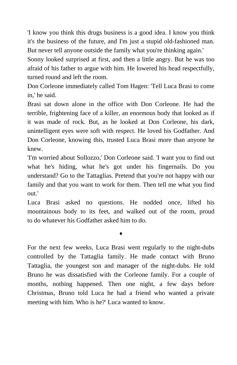'I know you think this drugs business is a good idea. I know you think it's the business of the future, and I'm just a stupid old-fashioned man. But never tell anyone outside the family what you're thinking again.'

Sonny looked surprised at first, and then a little angry. But he was too afraid of his father to argue with him. He lowered his head respectfully, turned round and left the room.

Don Corleone immediately called Tom Hagen: 'Tell Luca Brasi to come in,' he said.

Brasi sat down alone in the office with Don Corleone. He had the terrible, frightening face of a killer, an enormous body that looked as if it was made of rock. But, as he looked at Don Corleone, his dark, unintelligent eyes were soft with respect. He loved his Godfather. And Don Corleone, knowing this, trusted Luca Brasi more than anyone he knew.

'I'm worried about Sollozzo,' Don Corleone said. 'I want you to find out what he's hiding, what he's got under his fingernails. Do you understand? Go to the Tattaglias. Pretend that you're not happy with our family and that you want to work for them. Then tell me what you find out.'

Luca Brasi asked no questions. He nodded once, lifted his mountainous body to its feet, and walked out of the room, proud to do whatever his Godfather asked him to do.

**♦**

For the next few weeks, Luca Brasi went regularly to the night-dubs controlled by the Tattaglia family. He made contact with Bruno Tattaglia, the youngest son and manager of the night-dubs. He told Bruno he was dissatisfied with the Corleone family. For a couple of months, nothing happened. Then one night, a few days before Christmas, Bruno told Luca he had a friend who wanted a private meeting with him. Who is he?' Luca wanted to know.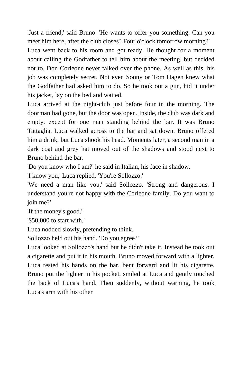'Just a friend,' said Bruno. 'He wants to offer you something. Can you meet him here, after the club closes? Four o'clock tomorrow morning?'

Luca went back to his room and got ready. He thought for a moment about calling the Godfather to tell him about the meeting, but decided not to. Don Corleone never talked over the phone. As well as this, his job was completely secret. Not even Sonny or Tom Hagen knew what the Godfather had asked him to do. So he took out a gun, hid it under his jacket, lay on the bed and waited.

Luca arrived at the night-club just before four in the morning. The doorman had gone, but the door was open. Inside, the club was dark and empty, except for one man standing behind the bar. It was Bruno Tattaglia. Luca walked across to the bar and sat down. Bruno offered him a drink, but Luca shook his head. Moments later, a second man in a dark coat and grey hat moved out of the shadows and stood next to Bruno behind the bar.

'Do you know who I am?' he said in Italian, his face in shadow.

'I know you,' Luca replied. 'You're Sollozzo.'

'We need a man like you,' said Sollozzo. 'Strong and dangerous. I understand you're not happy with the Corleone family. Do you want to join me?'

'If the money's good.'

'\$50,000 to start with.'

Luca nodded slowly, pretending to think.

Sollozzo held out his hand. 'Do you agree?'

Luca looked at Sollozzo's hand but he didn't take it. Instead he took out a cigarette and put it in his mouth. Bruno moved forward with a lighter. Luca rested his hands on the bar, bent forward and lit his cigarette. Bruno put the lighter in his pocket, smiled at Luca and gently touched the back of Luca's hand. Then suddenly, without warning, he took Luca's arm with his other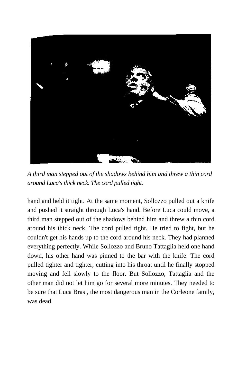

*A third man stepped out of the shadows behind him and threw a thin cord around Luca's thick neck. The cord pulled tight.*

hand and held it tight. At the same moment, Sollozzo pulled out a knife and pushed it straight through Luca's hand. Before Luca could move, a third man stepped out of the shadows behind him and threw a thin cord around his thick neck. The cord pulled tight. He tried to fight, but he couldn't get his hands up to the cord around his neck. They had planned everything perfectly. While Sollozzo and Bruno Tattaglia held one hand down, his other hand was pinned to the bar with the knife. The cord pulled tighter and tighter, cutting into his throat until he finally stopped moving and fell slowly to the floor. But Sollozzo, Tattaglia and the other man did not let him go for several more minutes. They needed to be sure that Luca Brasi, the most dangerous man in the Corleone family, was dead.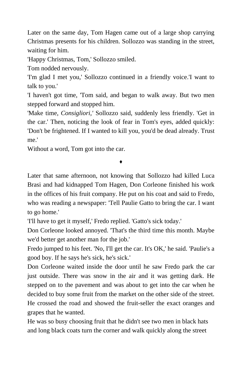Later on the same day, Tom Hagen came out of a large shop carrying Christmas presents for his children. Sollozzo was standing in the street, waiting for him.

'Happy Christmas, Tom,' Sollozzo smiled.

Tom nodded nervously.

'I'm glad I met you,' Sollozzo continued in a friendly voice.'I want to talk to you.'

'I haven't got time, 'Tom said, and began to walk away. But two men stepped forward and stopped him.

'Make time, *Consigliori,'* Sollozzo said, suddenly less friendly. 'Get in the car.' Then, noticing the look of fear in Tom's eyes, added quickly: 'Don't be frightened. If I wanted to kill you, you'd be dead already. Trust me.'

Without a word, Tom got into the car.

## **♦**

Later that same afternoon, not knowing that Sollozzo had killed Luca Brasi and had kidnapped Tom Hagen, Don Corleone finished his work in the offices of his fruit company. He put on his coat and said to Fredo, who was reading a newspaper: 'Tell Paulie Gatto to bring the car. I want to go home.'

'I'll have to get it myself,' Fredo replied. 'Gatto's sick today.'

Don Corleone looked annoyed. 'That's the third time this month. Maybe we'd better get another man for the job.'

Fredo jumped to his feet. 'No, I'll get the car. It's OK,' he said. 'Paulie's a good boy. If he says he's sick, he's sick.'

Don Corleone waited inside the door until he saw Fredo park the car just outside. There was snow in the air and it was getting dark. He stepped on to the pavement and was about to get into the car when he decided to buy some fruit from the market on the other side of the street. He crossed the road and showed the fruit-seller the exact oranges and grapes that he wanted.

He was so busy choosing fruit that he didn't see two men in black hats and long black coats turn the corner and walk quickly along the street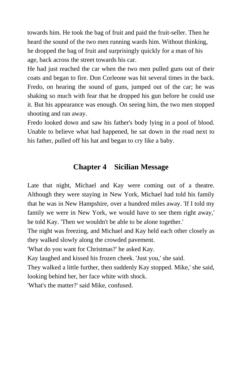<span id="page-18-0"></span>towards him. He took the bag of fruit and paid the fruit-seller. Then he heard the sound of the two men running wards him. Without thinking, he dropped the bag of fruit and surprisingly quickly for a man of his age, back across the street towards his car.

He had just reached the car when the two men pulled guns out of their coats and began to fire. Don Corleone was hit several times in the back. Fredo, on hearing the sound of guns, jumped out of the car; he was shaking so much with fear that he dropped his gun before he could use it. But his appearance was enough. On seeing him, the two men stopped shooting and ran away.

Fredo looked down and saw his father's body lying in a pool of blood. Unable to believe what had happened, he sat down in the road next to his father, pulled off his hat and began to cry like a baby.

# **Chapter 4 Sicilian Message**

Late that night, Michael and Kay were coming out of a theatre. Although they were staying in New York, Michael had told his family that he was in New Hampshire, over a hundred miles away. 'If I told my family we were in New York, we would have to see them right away,' he told Kay. 'Then we wouldn't be able to be alone together.'

The night was freezing, and Michael and Kay held each other closely as they walked slowly along the crowded pavement.

'What do you want for Christmas?' he asked Kay.

Kay laughed and kissed his frozen cheek. 'Just you,' she said.

They walked a little further, then suddenly Kay stopped. Mike,' she said, looking behind her, her face white with shock.

'What's the matter?' said Mike, confused.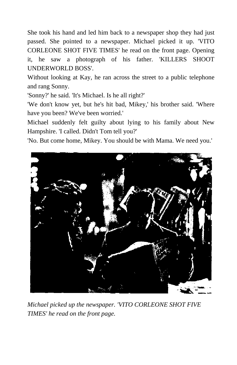She took his hand and led him back to a newspaper shop they had just passed. She pointed to a newspaper. Michael picked it up. 'VITO CORLEONE SHOT FIVE TIMES' he read on the front page. Opening it, he saw a photograph of his father. 'KILLERS SHOOT UNDERWORLD BOSS'.

Without looking at Kay, he ran across the street to a public telephone and rang Sonny.

'Sonny?' he said. 'It's Michael. Is he all right?'

'We don't know yet, but he's hit bad, Mikey,' his brother said. 'Where have you been? We've been worried.'

Michael suddenly felt guilty about lying to his family about New Hampshire. 'I called. Didn't Tom tell you?'

'No. But come home, Mikey. You should be with Mama. We need you.'



*Michael picked up the newspaper. 'VITO CORLEONE SHOT FIVE TIMES' he read on the front page.*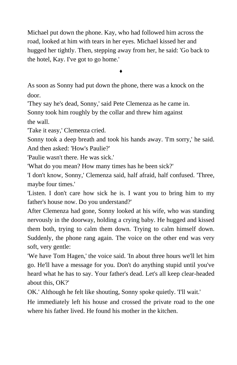Michael put down the phone. Kay, who had followed him across the road, looked at him with tears in her eyes. Michael kissed her and hugged her tightly. Then, stepping away from her, he said: 'Go back to the hotel, Kay. I've got to go home.'

**♦**

As soon as Sonny had put down the phone, there was a knock on the door.

'They say he's dead, Sonny,' said Pete Clemenza as he came in.

Sonny took him roughly by the collar and threw him against

the wall.

'Take it easy,' Clemenza cried.

Sonny took a deep breath and took his hands away. 'I'm sorry,' he said. And then asked: 'How's Paulie?'

'Paulie wasn't there. He was sick.'

'What do you mean? How many times has he been sick?'

'I don't know, Sonny,' Clemenza said, half afraid, half confused. 'Three, maybe four times.'

'Listen. I don't care how sick he is. I want you to bring him to my father's house now. Do you understand?'

After Clemenza had gone, Sonny looked at his wife, who was standing nervously in the doorway, holding a crying baby. He hugged and kissed them both, trying to calm them down. Trying to calm himself down. Suddenly, the phone rang again. The voice on the other end was very soft, very gentle:

'We have Tom Hagen,' the voice said. 'In about three hours we'll let him go. He'll have a message for you. Don't do anything stupid until you've heard what he has to say. Your father's dead. Let's all keep clear-headed about this, OK?'

OK.' Although he felt like shouting, Sonny spoke quietly. 'I'll wait.'

He immediately left his house and crossed the private road to the one where his father lived. He found his mother in the kitchen.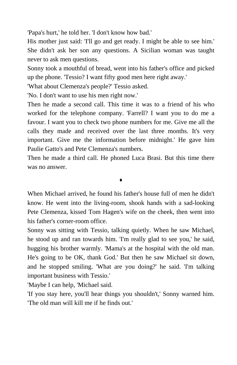'Papa's hurt,' he told her. 'I don't know how bad.'

His mother just said: 'I'll go and get ready. I might be able to see him.' She didn't ask her son any questions. A Sicilian woman was taught never to ask men questions.

Sonny took a mouthful of bread, went into his father's office and picked up the phone. 'Tessio? I want fifty good men here right away.'

'What about Clemenza's people?' Tessio asked.

'No. I don't want to use his men right now.'

Then he made a second call. This time it was to a friend of his who worked for the telephone company. 'Farrell? I want you to do me a favour. I want you to check two phone numbers for me. Give me all the calls they made and received over the last three months. It's very important. Give me the information before midnight.' He gave him Paulie Gatto's and Pete Clemenza's numbers.

Then he made a third call. He phoned Luca Brasi. But this time there was no answer.

#### **♦**

When Michael arrived, he found his father's house full of men he didn't know. He went into the living-room, shook hands with a sad-looking Pete Clemenza, kissed Tom Hagen's wife on the cheek, then went into his father's corner-room office.

Sonny was sitting with Tessio, talking quietly. When he saw Michael, he stood up and ran towards him. 'I'm really glad to see you,' he said, hugging his brother warmly. 'Mama's at the hospital with the old man. He's going to be OK, thank God.' But then he saw Michael sit down, and he stopped smiling. 'What are you doing?' he said. 'I'm talking important business with Tessio.'

'Maybe I can help, 'Michael said.

'If you stay here, you'll hear things you shouldn't,' Sonny warned him. 'The old man will kill me if he finds out.'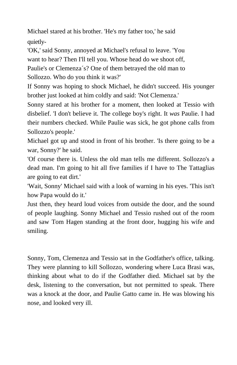Michael stared at his brother. 'He's my father too,' he said quietly-

'OK,' said Sonny, annoyed at Michael's refusal to leave. 'You want to hear? Then I'll tell you. Whose head do we shoot off, Paulie's or Clemenza´s? One of them betrayed the old man to Sollozzo. Who do you think it was?'

If Sonny was hoping to shock Michael, he didn't succeed. His younger brother just looked at him coldly and said: 'Not Clemenza.'

Sonny stared at his brother for a moment, then looked at Tessio with disbelief. 'I don't believe it. The college boy's right. It *was* Paulie. I had their numbers checked. While Paulie was sick, he got phone calls from Sollozzo's people.'

Michael got up and stood in front of his brother. 'Is there going to be a war, Sonny?' he said.

'Of course there is. Unless the old man tells me different. Sollozzo's a dead man. I'm going to hit all five families if I have to The Tattaglias are going to eat dirt.'

'Wait, Sonny' Michael said with a look of warning in his eyes. 'This isn't how Papa would do it.'

Just then, they heard loud voices from outside the door, and the sound of people laughing. Sonny Michael and Tessio rushed out of the room and saw Tom Hagen standing at the front door, hugging his wife and smiling.

Sonny, Tom, Clemenza and Tessio sat in the Godfather's office, talking. They were planning to kill Sollozzo, wondering where Luca Brasi was, thinking about what to do if the Godfather died. Michael sat by the desk, listening to the conversation, but not permitted to speak. There was a knock at the door, and Paulie Gatto came in. He was blowing his nose, and looked very ill.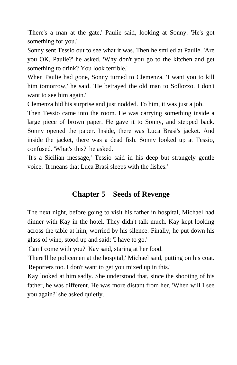<span id="page-23-0"></span>'There's a man at the gate,' Paulie said, looking at Sonny. 'He's got something for you.'

Sonny sent Tessio out to see what it was. Then he smiled at Paulie. 'Are you OK, Paulie?' he asked. 'Why don't you go to the kitchen and get something to drink? You look terrible.'

When Paulie had gone, Sonny turned to Clemenza. 'I want you to kill him tomorrow,' he said. 'He betrayed the old man to Sollozzo. I don't want to see him again.'

Clemenza hid his surprise and just nodded. To him, it was just a job.

Then Tessio came into the room. He was carrying something inside a large piece of brown paper. He gave it to Sonny, and stepped back. Sonny opened the paper. Inside, there was Luca Brasi's jacket. And inside the jacket, there was a dead fish. Sonny looked up at Tessio, confused. 'What's this?' he asked.

'It's a Sicilian message,' Tessio said in his deep but strangely gentle voice. 'It means that Luca Brasi sleeps with the fishes.'

# **Chapter 5 Seeds of Revenge**

The next night, before going to visit his father in hospital, Michael had dinner with Kay in the hotel. They didn't talk much. Kay kept looking across the table at him, worried by his silence. Finally, he put down his glass of wine, stood up and said: 'I have to go.'

'Can I come with you?' Kay said, staring at her food.

'There'll be policemen at the hospital,' Michael said, putting on his coat. 'Reporters too. I don't want to get you mixed up in this.'

Kay looked at him sadly. She understood that, since the shooting of his father, he was different. He was more distant from her. 'When will I see you again?' she asked quietly.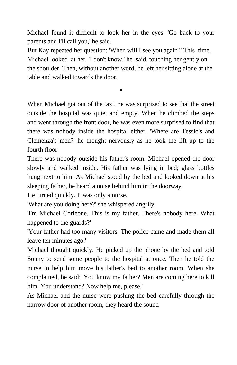Michael found it difficult to look her in the eyes. 'Go back to your parents and I'll call you,' he said.

But Kay repeated her question: 'When will I see you again?' This time, Michael looked at her. 'I don't know,' he said, touching her gently on the shoulder. Then, without another word, he left her sitting alone at the table and walked towards the door.

**♦**

When Michael got out of the taxi, he was surprised to see that the street outside the hospital was quiet and empty. When he climbed the steps and went through the front door, he was even more surprised to find that there was nobody inside the hospital either. 'Where are Tessio's and Clemenza's men?' he thought nervously as he took the lift up to the fourth floor.

There was nobody outside his father's room. Michael opened the door slowly and walked inside. His father was lying in bed; glass bottles hung next to him. As Michael stood by the bed and looked down at his sleeping father, he heard a noise behind him in the doorway.

He turned quickly. It was only a nurse.

'What are you doing here?' she whispered angrily.

'I'm Michael Corleone. This is my father. There's nobody here. What happened to the guards?'

'Your father had too many visitors. The police came and made them all leave ten minutes ago.'

Michael thought quickly. He picked up the phone by the bed and told Sonny to send some people to the hospital at once. Then he told the nurse to help him move his father's bed to another room. When she complained, he said: 'You know my father? Men are coming here to kill him. You understand? Now help me, please.'

As Michael and the nurse were pushing the bed carefully through the narrow door of another room, they heard the sound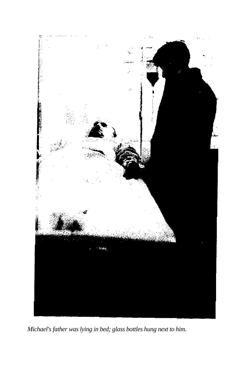

*Michael's father was lying in bed; glass bottles hung next to him.*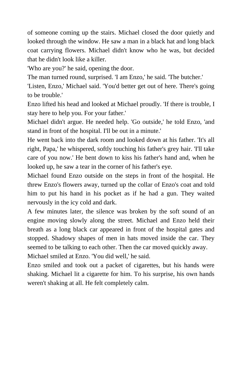of someone coming up the stairs. Michael closed the door quietly and looked through the window. He saw a man in a black hat and long black coat carrying flowers. Michael didn't know who he was, but decided that he didn't look like a killer.

'Who are you?' he said, opening the door.

The man turned round, surprised. 'I am Enzo,' he said. 'The butcher.'

'Listen, Enzo,' Michael said. 'You'd better get out of here. There's going to be trouble.'

Enzo lifted his head and looked at Michael proudly. 'If there is trouble, I stay here to help you. For your father.'

Michael didn't argue. He needed help. 'Go outside,' he told Enzo, 'and stand in front of the hospital. I'll be out in a minute.'

He went back into the dark room and looked down at his father. 'It's all right, Papa,' he whispered, softly touching his father's grey hair. 'I'll take care of you now.' He bent down to kiss his father's hand and, when he looked up, he saw a tear in the corner of his father's eye.

Michael found Enzo outside on the steps in front of the hospital. He threw Enzo's flowers away, turned up the collar of Enzo's coat and told him to put his hand in his pocket as if he had a gun. They waited nervously in the icy cold and dark.

A few minutes later, the silence was broken by the soft sound of an engine moving slowly along the street. Michael and Enzo held their breath as a long black car appeared in front of the hospital gates and stopped. Shadowy shapes of men in hats moved inside the car. They seemed to be talking to each other. Then the car moved quickly away.

Michael smiled at Enzo. 'You did well,' he said.

Enzo smiled and took out a packet of cigarettes, but his hands were shaking. Michael lit a cigarette for him. To his surprise, his own hands weren't shaking at all. He felt completely calm.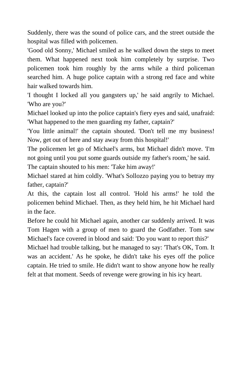Suddenly, there was the sound of police cars, and the street outside the hospital was filled with policemen.

'Good old Sonny,' Michael smiled as he walked down the steps to meet them. What happened next took him completely by surprise. Two policemen took him roughly by the arms while a third policeman searched him. A huge police captain with a strong red face and white hair walked towards him.

'I thought I locked all you gangsters up,' he said angrily to Michael. 'Who are you?'

Michael looked up into the police captain's fiery eyes and said, unafraid: 'What happened to the men guarding my father, captain?'

'You little animal!' the captain shouted. 'Don't tell me my business! Now, get out of here and stay away from this hospital!'

The policemen let go of Michael's arms, but Michael didn't move. 'I'm not going until you put some guards outside my father's room,' he said.

The captain shouted to his men: 'Take him away!'

Michael stared at him coldly. 'What's Sollozzo paying you to betray my father, captain?'

At this, the captain lost all control. 'Hold his arms!' he told the policemen behind Michael. Then, as they held him, he hit Michael hard in the face.

Before he could hit Michael again, another car suddenly arrived. It was Tom Hagen with a group of men to guard the Godfather. Tom saw Michael's face covered in blood and said: 'Do you want to report this?'

Michael had trouble talking, but he managed to say: 'That's OK, Tom. It was an accident.' As he spoke, he didn't take his eyes off the police captain. He tried to smile. He didn't want to show anyone how he really felt at that moment. Seeds of revenge were growing in his icy heart.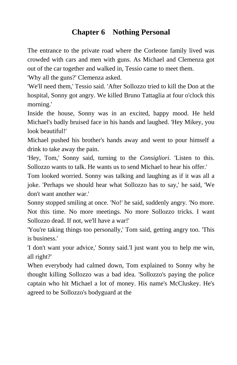# **Chapter 6 Nothing Personal**

<span id="page-28-0"></span>The entrance to the private road where the Corleone family lived was crowded with cars and men with guns. As Michael and Clemenza got out of the car together and walked in, Tessio came to meet them.

'Why all the guns?' Clemenza asked.

'We'll need them,' Tessio said. 'After Sollozzo tried to kill the Don at the hospital, Sonny got angry. We killed Bruno Tattaglia at four o'clock this morning.'

Inside the house, Sonny was in an excited, happy mood. He held Michael's badly bruised face in his hands and laughed. 'Hey Mikey, you look beautiful!'

Michael pushed his brother's hands away and went to pour himself a drink to take away the pain.

'Hey, Tom,' Sonny said, turning to the *Consigliori.* 'Listen to this. Sollozzo wants to talk. He wants us to send Michael to hear his offer.'

Tom looked worried. Sonny was talking and laughing as if it was all a joke. 'Perhaps we should hear what Sollozzo has to say,' he said, 'We don't want another war.'

Sonny stopped smiling at once. 'No!' he said, suddenly angry. 'No more. Not this time. No more meetings. No more Sollozzo tricks. I want Sollozzo dead. If not, we'll have a war!'

'You're taking things too personally,' Tom said, getting angry too. 'This is business.'

'I don't want your advice,' Sonny said.'I just want you to help me win, all right?'

When everybody had calmed down, Tom explained to Sonny why he thought killing Sollozzo was a bad idea. 'Sollozzo's paying the police captain who hit Michael a lot of money. His name's McCluskey. He's agreed to be Sollozzo's bodyguard at the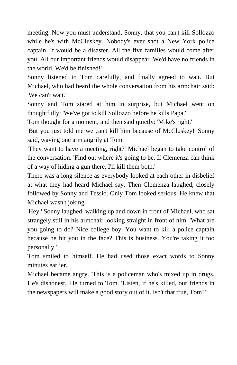meeting. Now you must understand, Sonny, that you can't kill Sollozzo while he's with McCluskey. Nobody's ever shot a New York police captain. It would be a disaster. All the five families would come after you. All our important friends would disappear. We'd have no friends in the world. We'd be finished!'

Sonny listened to Tom carefully, and finally agreed to wait. But Michael, who had heard the whole conversation from his armchair said: 'We can't wait.'

Sonny and Tom stared at him in surprise, but Michael went on thoughtfully: 'We've got to kill Sollozzo before he kills Papa.'

Tom thought for a moment, and then said quietly: 'Mike's right.'

'But you just told me we can't kill him because of McCluskey!' Sonny said, waving one arm angrily at Tom.

'They want to have a meeting, right?' Michael began to take control of the conversation. 'Find out where it's going to be. If Clemenza can think of a way of hiding a gun there, I'll kill them both.'

There was a long silence as everybody looked at each other in disbelief at what they had heard Michael say. Then Clemenza laughed, closely followed by Sonny and Tessio. Only Tom looked serious. He knew that Michael wasn't joking.

'Hey,' Sonny laughed, walking up and down in front of Michael, who sat strangely still in his armchair looking straight in front of him. 'What are you going to do? Nice college boy. You want to kill a police captain because he hit you in the face? This is business. You're taking it too personally.'

Tom smiled to himself. He had used those exact words to Sonny minutes earlier.

Michael became angry. 'This is a policeman who's mixed up in drugs. He's dishonest.' He turned to Tom. 'Listen, if he's killed, our friends in the newspapers will make a good story out of it. Isn't that true, Tom?'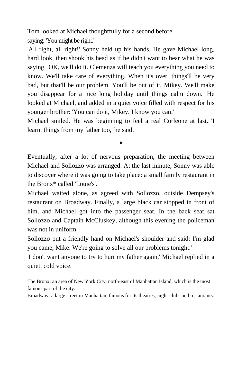Tom looked at Michael thoughtfully for a second before saying: 'You might be right.'

'All right, all right!' Sonny held up his hands. He gave Michael long, hard look, then shook his head as if he didn't want to hear what he was saying. 'OK, we'll do it. Clemenza will teach you everything you need to know. We'll take care of everything. When it's over, things'll be very bad, but that'll be our problem. You'll be out of it, Mikey. We'll make you disappear for a nice long holiday until things calm down.' He looked at Michael, and added in a quiet voice filled with respect for his younger brother: 'You can do it, Mikey. I know you can.'

Michael smiled. He was beginning to feel a real Corleone at last. 'I learnt things from my father too,' he said.

**♦**

Eventually, after a lot of nervous preparation, the meeting between Michael and Sollozzo was arranged. At the last minute, Sonny was able to discover where it was going to take place: a small family restaurant in the Bronx\* called 'Louie's'.

Michael waited alone, as agreed with Sollozzo, outside Dempsey's restaurant on Broadway. Finally, a large black car stopped in front of him, and Michael got into the passenger seat. In the back seat sat Sollozzo and Captain McCluskey, although this evening the policeman was not in uniform.

Sollozzo put a friendly hand on Michael's shoulder and said: I'm glad you came, Mike. We're going to solve all our problems tonight.'

'I don't want anyone to try to hurt my father again,' Michael replied in a quiet, cold voice.

The Bronx: an area of New York City, north-east of Manhattan Island, which is the most famous part of the city.

Broadway: a large street in Manhattan, famous for its theatres, night-clubs and restaurants.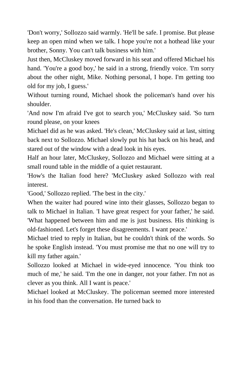'Don't worry,' Sollozzo said warmly. 'He'll be safe. I promise. But please keep an open mind when we talk. I hope you're not a hothead like your brother, Sonny. You can't talk business with him.'

Just then, McCluskey moved forward in his seat and offered Michael his hand. 'You're a good boy,' he said in a strong, friendly voice. 'I'm sorry about the other night, Mike. Nothing personal, I hope. I'm getting too old for my job, I guess.'

Without turning round, Michael shook the policeman's hand over his shoulder.

'And now I'm afraid I've got to search you,' McCluskey said. 'So turn round please, on your knees

Michael did as he was asked. 'He's clean,' McCluskey said at last, sitting back next to Sollozzo. Michael slowly put his hat back on his head, and stared out of the window with a dead look in his eyes.

Half an hour later, McCluskey, Sollozzo and Michael were sitting at a small round table in the middle of a quiet restaurant.

'How's the Italian food here? 'McCluskey asked Sollozzo with real interest.

'Good,' Sollozzo replied. 'The best in the city.'

When the waiter had poured wine into their glasses, Sollozzo began to talk to Michael in Italian. 'I have great respect for your father,' he said. 'What happened between him and me is just business. His thinking is old-fashioned. Let's forget these disagreements. I want peace.'

Michael tried to reply in Italian, but he couldn't think of the words. So he spoke English instead. 'You must promise me that no one will try to kill my father again.'

Sollozzo looked at Michael in wide-eyed innocence. 'You think too much of me,' he said. The the one in danger, not your father. I'm not as clever as you think. All I want is peace.'

Michael looked at McCluskey. The policeman seemed more interested in his food than the conversation. He turned back to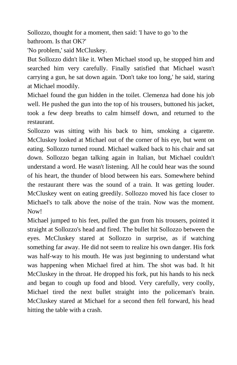Sollozzo, thought for a moment, then said: 'I have to go 'to the bathroom. Is that OK?'

'No problem,' said McCluskey.

But Sollozzo didn't like it. When Michael stood up, he stopped him and searched him very carefully. Finally satisfied that Michael wasn't carrying a gun, he sat down again. 'Don't take too long,' he said, staring at Michael moodily.

Michael found the gun hidden in the toilet. Clemenza had done his job well. He pushed the gun into the top of his trousers, buttoned his jacket, took a few deep breaths to calm himself down, and returned to the restaurant.

Sollozzo was sitting with his back to him, smoking a cigarette. McCluskey looked at Michael out of the corner of his eye, but went on eating. Sollozzo turned round. Michael walked back to his chair and sat down. Sollozzo began talking again in Italian, but Michael couldn't understand a word. He wasn't listening. All he could hear was the sound of his heart, the thunder of blood between his ears. Somewhere behind the restaurant there was the sound of a train. It was getting louder. McCluskey went on eating greedily. Sollozzo moved his face closer to Michael's to talk above the noise of the train. Now was the moment. Now!

Michael jumped to his feet, pulled the gun from his trousers, pointed it straight at Sollozzo's head and fired. The bullet hit Sollozzo between the eyes. McCluskey stared at Sollozzo in surprise, as if watching something far away. He did not seem to realize his own danger. His fork was half-way to his mouth. He was just beginning to understand what was happening when Michael fired at him. The shot was bad. It hit McCluskey in the throat. He dropped his fork, put his hands to his neck and began to cough up food and blood. Very carefully, very coolly, Michael tired the next bullet straight into the policeman's brain. McCluskey stared at Michael for a second then fell forward, his head hitting the table with a crash.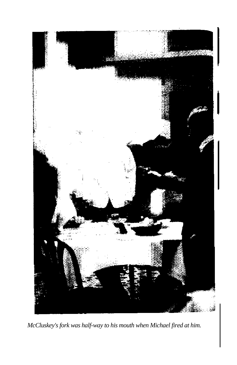

*McCluskey's fork was half-way to his mouth when Michael fired at him.*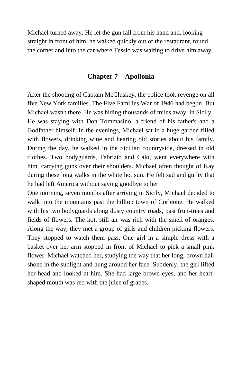<span id="page-34-0"></span>Michael turned away. He let the gun fall from his hand and, looking straight in front of him, he walked quickly out of the restaurant, round the corner and into the car where Tessio was waiting to drive him away.

# **Chapter 7 Apollonia**

After the shooting of Captain McCluskey, the police took revenge on all five New York families. The Five Families War of 1946 had begun. But Michael wasn't there. He was hiding thousands of miles away, in Sicily. He was staying with Don Tommasino, a friend of his father's and a Godfather himself. In the evenings, Michael sat in a huge garden filled with flowers, drinking wine and hearing old stories about his family. During the day, he walked in the Sicilian countryside, dressed in old clothes. Two bodyguards, Fabrizio and Calo, went everywhere with him, carrying guns over their shoulders. Michael often thought of Kay during these long walks in the white hot sun. He felt sad and guilty that he had left America without saying goodbye to her.

One morning, seven months after arriving in Sicily, Michael decided to walk into the mountains past the hilltop town of Corleone. He walked with his two bodyguards along dusty country roads, past fruit-trees and fields of flowers. The hot, still air was rich with the smell of oranges. Along the way, they met a group of girls and children picking flowers. They stopped to watch them pass. One girl in a simple dress with a basket over her arm stopped in front of Michael to pick a small pink flower. Michael watched her, studying the way that her long, brown hair shone in the sunlight and hung around her face. Suddenly, the girl lifted her head and looked at him. She had large brown eyes, and her heartshaped mouth was red with the juice of grapes.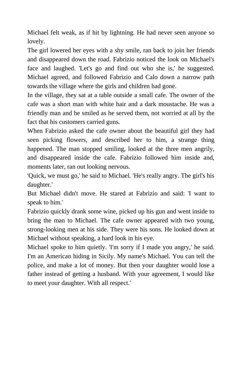Michael felt weak, as if hit by lightning. He had never seen anyone so lovely.

The girl lowered her eyes with a shy smile, ran back to join her friends and disappeared down the road. Fabrizio noticed the look on Michael's face and laughed. 'Let's go and find out who she is,' he suggested. Michael agreed, and followed Fabrizio and Calo down a narrow path towards the village where the girls and children had gone.

In the village, they sat at a table outside a small cafe. The owner of the cafe was a short man with white hair and a dark moustache. He was a friendly man and he smiled as he served them, not worried at all by the fact that his customers carried guns.

When Fabrizio asked the cafe owner about the beautiful girl they had seen picking flowers, and described her to him, a strange thing happened. The man stopped smiling, looked at the three men angrily, and disappeared inside the cafe. Fabrizio followed him inside and, moments later, ran out looking nervous.

'Quick, we must go,' he said to Michael. 'He's really angry. The girl's his daughter.'

But Michael didn't move. He stared at Fabrizio and said: 'I want to speak to him.'

Fabrizio quickly drank some wine, picked up his gun and went inside to bring the man to Michael. The cafe owner appeared with two young, strong-looking men at his side. They were his sons. He looked down at Michael without speaking, a hard look in his eye.

Michael spoke to him quietly. The sorry if I made you angry, he said. I'm an American hiding in Sicily. My name's Michael. You can tell the police, and make a lot of money. But then your daughter would lose a father instead of getting a husband. With your agreement, I would like to meet your daughter. With all respect.'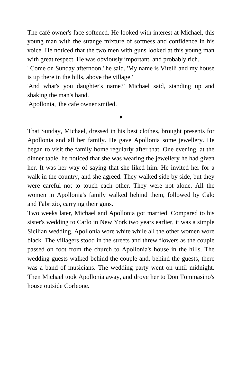The café owner's face softened. He looked with interest at Michael, this young man with the strange mixture of softness and confidence in his voice. He noticed that the two men with guns looked at this young man with great respect. He was obviously important, and probably rich.

' Come on Sunday afternoon,' he said. 'My name is Vitelli and my house is up there in the hills, above the village.'

'And what's you daughter's name?' Michael said, standing up and shaking the man's hand.

**♦**

'Apollonia, 'the cafe owner smiled.

That Sunday, Michael, dressed in his best clothes, brought presents for Apollonia and all her family. He gave Apollonia some jewellery. He began to visit the family home regularly after that. One evening, at the dinner table, he noticed that she was wearing the jewellery he had given her. It was her way of saying that she liked him. He invited her for a walk in the country, and she agreed. They walked side by side, but they were careful not to touch each other. They were not alone. All the women in Apollonia's family walked behind them, followed by Calo and Fabrizio, carrying their guns.

Two weeks later, Michael and Apollonia got married. Compared to his sister's wedding to Carlo in New York two years earlier, it was a simple Sicilian wedding. Apollonia wore white while all the other women wore black. The villagers stood in the streets and threw flowers as the couple passed on foot from the church to Apollonia's house in the hills. The wedding guests walked behind the couple and, behind the guests, there was a band of musicians. The wedding party went on until midnight. Then Michael took Apollonia away, and drove her to Don Tommasino's house outside Corleone.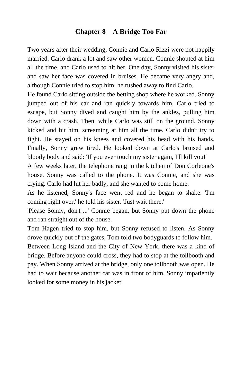## **Chapter 8 A Bridge Too Far**

<span id="page-37-0"></span>Two years after their wedding, Connie and Carlo Rizzi were not happily married. Carlo drank a lot and saw other women. Connie shouted at him all the time, and Carlo used to hit her. One day, Sonny visited his sister and saw her face was covered in bruises. He became very angry and, although Connie tried to stop him, he rushed away to find Carlo.

He found Carlo sitting outside the betting shop where he worked. Sonny jumped out of his car and ran quickly towards him. Carlo tried to escape, but Sonny dived and caught him by the ankles, pulling him down with a crash. Then, while Carlo was still on the ground, Sonny kicked and hit him, screaming at him all the time. Carlo didn't try to fight. He stayed on his knees and covered his head with his hands. Finally, Sonny grew tired. He looked down at Carlo's bruised and bloody body and said: 'If you ever touch my sister again, I'll kill you!'

A few weeks later, the telephone rang in the kitchen of Don Corleone's house. Sonny was called to the phone. It was Connie, and she was crying. Carlo had hit her badly, and she wanted to come home.

As he listened, Sonny's face went red and he began to shake. 'I'm coming right over,' he told his sister. 'Just wait there.'

'Please Sonny, don't ...' Connie began, but Sonny put down the phone and ran straight out of the house.

Tom Hagen tried to stop him, but Sonny refused to listen. As Sonny drove quickly out of the gates, Tom told two bodyguards to follow him.

Between Long Island and the City of New York, there was a kind of bridge. Before anyone could cross, they had to stop at the tollbooth and pay. When Sonny arrived at the bridge, only one tollbooth was open. He had to wait because another car was in front of him. Sonny impatiently looked for some money in his jacket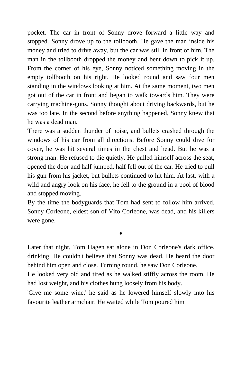pocket. The car in front of Sonny drove forward a little way and stopped. Sonny drove up to the tollbooth. He gave the man inside his money and tried to drive away, but the car was still in front of him. The man in the tollbooth dropped the money and bent down to pick it up. From the corner of his eye, Sonny noticed something moving in the empty tollbooth on his right. He looked round and saw four men standing in the windows looking at him. At the same moment, two men got out of the car in front and began to walk towards him. They were carrying machine-guns. Sonny thought about driving backwards, but he was too late. In the second before anything happened, Sonny knew that he was a dead man.

There was a sudden thunder of noise, and bullets crashed through the windows of his car from all directions. Before Sonny could dive for cover, he was hit several times in the chest and head. But he was a strong man. He refused to die quietly. He pulled himself across the seat, opened the door and half jumped, half fell out of the car. He tried to pull his gun from his jacket, but bullets continued to hit him. At last, with a wild and angry look on his face, he fell to the ground in a pool of blood and stopped moving.

By the time the bodyguards that Tom had sent to follow him arrived, Sonny Corleone, eldest son of Vito Corleone, was dead, and his killers were gone.

**♦**

Later that night, Tom Hagen sat alone in Don Corleone's dark office, drinking. He couldn't believe that Sonny was dead. He heard the door behind him open and close. Turning round, he saw Don Corleone.

He looked very old and tired as he walked stiffly across the room. He had lost weight, and his clothes hung loosely from his body.

'Give me some wine,' he said as he lowered himself slowly into his favourite leather armchair. He waited while Tom poured him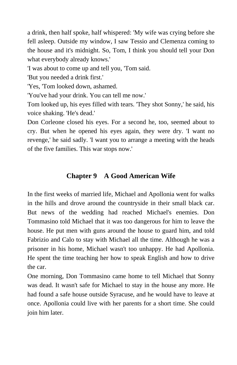<span id="page-39-0"></span>a drink, then half spoke, half whispered: 'My wife was crying before she fell asleep. Outside my window, I saw Tessio and Clemenza coming to the house and it's midnight. So, Tom, I think you should tell your Don what everybody already knows.'

'I was about to come up and tell you, 'Tom said.

'But you needed a drink first.'

'Yes, 'Tom looked down, ashamed.

'You've had your drink. You can tell me now.'

Tom looked up, his eyes filled with tears. 'They shot Sonny,' he said, his voice shaking. 'He's dead.'

Don Corleone closed his eyes. For a second he, too, seemed about to cry. But when he opened his eyes again, they were dry. 'I want no revenge,' he said sadly. 'I want you to arrange a meeting with the heads of the five families. This war stops now.'

# **Chapter 9 A Good American Wife**

In the first weeks of married life, Michael and Apollonia went for walks in the hills and drove around the countryside in their small black car. But news of the wedding had reached Michael's enemies. Don Tommasino told Michael that it was too dangerous for him to leave the house. He put men with guns around the house to guard him, and told Fabrizio and Calo to stay with Michael all the time. Although he was a prisoner in his home, Michael wasn't too unhappy. He had Apollonia. He spent the time teaching her how to speak English and how to drive the car.

One morning, Don Tommasino came home to tell Michael that Sonny was dead. It wasn't safe for Michael to stay in the house any more. He had found a safe house outside Syracuse, and he would have to leave at once. Apollonia could live with her parents for a short time. She could join him later.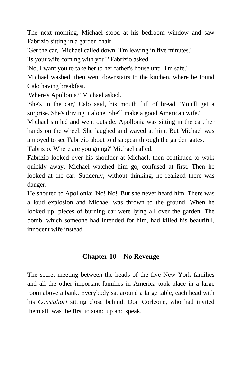<span id="page-40-0"></span>The next morning, Michael stood at his bedroom window and saw Fabrizio sitting in a garden chair.

'Get the car,' Michael called down. 'I'm leaving in five minutes.'

'Is your wife coming with you?' Fabrizio asked.

'No, I want you to take her to her father's house until I'm safe.'

Michael washed, then went downstairs to the kitchen, where he found Calo having breakfast.

'Where's Apollonia?' Michael asked.

'She's in the car,' Calo said, his mouth full of bread. 'You'll get a surprise. She's driving it alone. She'll make a good American wife.'

Michael smiled and went outside. Apollonia was sitting in the car, her hands on the wheel. She laughed and waved at him. But Michael was annoyed to see Fabrizio about to disappear through the garden gates.

'Fabrizio. Where are you going?' Michael called.

Fabrizio looked over his shoulder at Michael, then continued to walk quickly away. Michael watched him go, confused at first. Then he looked at the car. Suddenly, without thinking, he realized there was danger.

He shouted to Apollonia: 'No! No!' But she never heard him. There was a loud explosion and Michael was thrown to the ground. When he looked up, pieces of burning car were lying all over the garden. The bomb, which someone had intended for him, had killed his beautiful, innocent wife instead.

# **Chapter 10 No Revenge**

The secret meeting between the heads of the five New York families and all the other important families in America took place in a large room above a bank. Everybody sat around a large table, each head with his *Consigliori* sitting close behind. Don Corleone, who had invited them all, was the first to stand up and speak.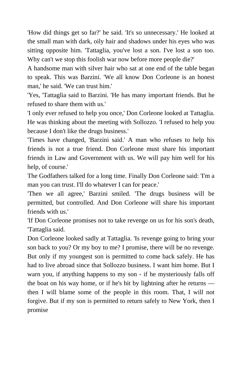'How did things get so far?' he said. 'It's so unnecessary.' He looked at the small man with dark, oily hair and shadows under his eyes who was sitting opposite him. 'Tattaglia, you've lost a son. I've lost a son too. Why can't we stop this foolish war now before more people die?'

A handsome man with silver hair who sat at one end of the table began to speak. This was Barzini. 'We all know Don Corleone is an honest man,' he said. 'We can trust him.'

'Yes, 'Tattaglia said to Barzini. 'He has many important friends. But he refused to share them with us.'

'I only ever refused to help you once,' Don Corleone looked at Tattaglia. He was thinking about the meeting with Sollozzo. 'I refused to help you because I don't like the drugs business.'

'Times have changed, 'Barzini said.' A man who refuses to help his friends is not a true friend. Don Corleone must share his important friends in Law and Government with us. We will pay him well for his help, of course.'

The Godfathers talked for a long time. Finally Don Corleone said: 'I'm a man you can trust. I'll do whatever I can for peace.'

'Then we all agree,' Barzini smiled. 'The drugs business will be permitted, but controlled. And Don Corleone will share his important friends with us.'

'If Don Corleone promises not to take revenge on us for his son's death, 'Tattaglia said.

Don Corleone looked sadly at Tattaglia. 'Is revenge going to bring your son back to you? Or my boy to me? I promise, there will be no revenge. But only if my youngest son is permitted to come back safely. He has had to live abroad since that Sollozzo business. I want him home. But I warn you, if anything happens to my son - if he mysteriously falls off the boat on his way home, or if he's hit by lightning after he returns then I will blame some of the people in this room. That, I will not forgive. But if my son is permitted to return safely to New York, then I promise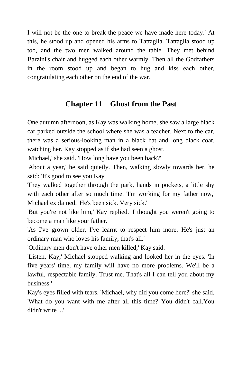<span id="page-42-0"></span>I will not be the one to break the peace we have made here today.' At this, he stood up and opened his arms to Tattaglia. Tattaglia stood up too, and the two men walked around the table. They met behind Barzini's chair and hugged each other warmly. Then all the Godfathers in the room stood up and began to hug and kiss each other, congratulating each other on the end of the war.

# **Chapter 11 Ghost from the Past**

One autumn afternoon, as Kay was walking home, she saw a large black car parked outside the school where she was a teacher. Next to the car, there was a serious-looking man in a black hat and long black coat, watching her. Kay stopped as if she had seen a ghost.

'Michael,' she said. 'How long have you been back?'

'About a year,' he said quietly. Then, walking slowly towards her, he said: 'It's good to see you Kay'

They walked together through the park, hands in pockets, a little shy with each other after so much time. Tm working for my father now,' Michael explained. 'He's been sick. Very sick.'

'But you're not like him,' Kay replied. 'I thought you weren't going to become a man like your father.'

'As I've grown older, I've learnt to respect him more. He's just an ordinary man who loves his family, that's all.'

'Ordinary men don't have other men killed,' Kay said.

'Listen, Kay,' Michael stopped walking and looked her in the eyes. 'In five years' time, my family will have no more problems. We'll be a lawful, respectable family. Trust me. That's all I can tell you about my business.'

Kay's eyes filled with tears. 'Michael, why did you come here?' she said. 'What do you want with me after all this time? You didn't call.You didn't write ...'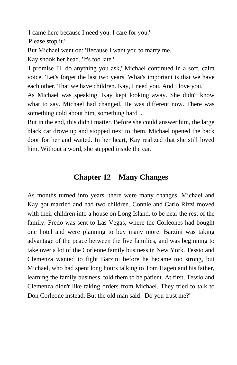<span id="page-43-0"></span>'I came here because I need you. I care for you.'

'Please stop it.'

But Michael went on: 'Because I want you to marry me.'

Kay shook her head. 'It's too late.'

'I promise I'll do anything you ask,' Michael continued in a soft, calm voice. 'Let's forget the last two years. What's important is that we have each other. That we have children. Kay, I need you. And I love you.'

As Michael was speaking, Kay kept looking away. She didn't know what to say. Michael had changed. He was different now. There was something cold about him, something hard ...

But in the end, this didn't matter. Before she could answer him, the large black car drove up and stopped next to them. Michael opened the back door for her and waited. In her heart, Kay realized that she still loved him. Without a word, she stepped inside the car.

# **Chapter 12 Many Changes**

As months turned into years, there were many changes. Michael and Kay got married and had two children. Connie and Carlo Rizzi moved with their children into a house on Long Island, to be near the rest of the family. Fredo was sent to Las Vegas, where the Corleones had bought one hotel and were planning to buy many more. Barzini was taking advantage of the peace between the five families, and was beginning to take over a lot of the Corleone family business in New York. Tessio and Clemenza wanted to fight Barzini before he became too strong, but Michael, who had spent long hours talking to Tom Hagen and his father, learning the family business, told them to be patient. At first, Tessio and Clemenza didn't like taking orders from Michael. They tried to talk to Don Corleone instead. But the old man said: 'Do you trust me?'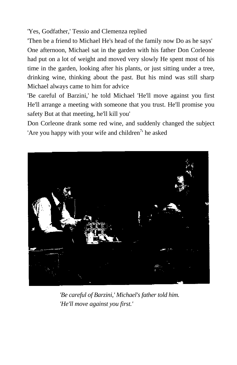'Yes, Godfather,' Tessio and Clemenza replied

'Then be a friend to Michael He's head of the family now Do as he says' One afternoon, Michael sat in the garden with his father Don Corleone had put on a lot of weight and moved very slowly He spent most of his time in the garden, looking after his plants, or just sitting under a tree, drinking wine, thinking about the past. But his mind was still sharp Michael always came to him for advice

'Be careful of Barzini,' he told Michael 'He'll move against you first He'll arrange a meeting with someone that you trust. He'll promise you safety But at that meeting, he'll kill you'

Don Corleone drank some red wine, and suddenly changed the subject 'Are you happy with your wife and children $\frac{7}{1}$  he asked



*'Be careful of Barzini,' Michael's father told him. 'He'll move against you first.'*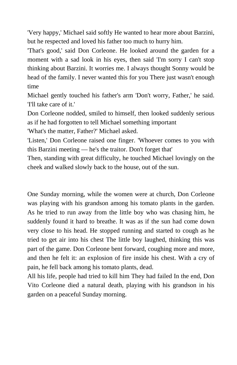'Very happy,' Michael said softly He wanted to hear more about Barzini, but he respected and loved his father too much to hurry him.

'That's good,' said Don Corleone. He looked around the garden for a moment with a sad look in his eyes, then said 'I'm sorry I can't stop thinking about Barzini. It worries me. I always thought Sonny would be head of the family. I never wanted this for you There just wasn't enough time

Michael gently touched his father's arm 'Don't worry, Father,' he said. 'I'll take care of it.'

Don Corleone nodded, smiled to himself, then looked suddenly serious as if he had forgotten to tell Michael something important

'What's the matter, Father?' Michael asked.

'Listen,' Don Corleone raised one finger. 'Whoever comes to you with this Barzini meeting — he's the traitor. Don't forget that'

Then, standing with great difficulty, he touched Michael lovingly on the cheek and walked slowly back to the house, out of the sun.

One Sunday morning, while the women were at church, Don Corleone was playing with his grandson among his tomato plants in the garden. As he tried to run away from the little boy who was chasing him, he suddenly found it hard to breathe. It was as if the sun had come down very close to his head. He stopped running and started to cough as he tried to get air into his chest The little boy laughed, thinking this was part of the game. Don Corleone bent forward, coughing more and more, and then he felt it: an explosion of fire inside his chest. With a cry of pain, he fell back among his tomato plants, dead.

All his life, people had tried to kill him They had failed In the end, Don Vito Corleone died a natural death, playing with his grandson in his garden on a peaceful Sunday morning.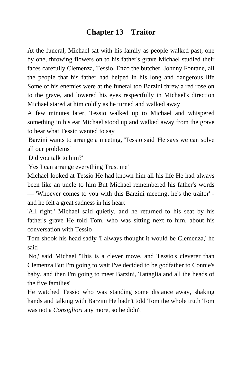# **Chapter 13 Traitor**

<span id="page-46-0"></span>At the funeral, Michael sat with his family as people walked past, one by one, throwing flowers on to his father's grave Michael studied their faces carefully Clemenza, Tessio, Enzo the butcher, Johnny Fontane, all the people that his father had helped in his long and dangerous life Some of his enemies were at the funeral too Barzini threw a red rose on to the grave, and lowered his eyes respectfully in Michael's direction Michael stared at him coldly as he turned and walked away

A few minutes later, Tessio walked up to Michael and whispered something in his ear Michael stood up and walked away from the grave to hear what Tessio wanted to say

'Barzini wants to arrange a meeting, 'Tessio said 'He says we can solve all our problems'

'Did you talk to him?'

'Yes I can arrange everything Trust me'

Michael looked at Tessio He had known him all his life He had always been like an uncle to him But Michael remembered his father's words — 'Whoever comes to you with this Barzini meeting, he's the traitor' and he felt a great sadness in his heart

'All right,' Michael said quietly, and he returned to his seat by his father's grave He told Tom, who was sitting next to him, about his conversation with Tessio

Tom shook his head sadly 'I always thought it would be Clemenza,' he said

'No,' said Michael 'This is a clever move, and Tessio's cleverer than Clemenza But I'm going to wait I've decided to be godfather to Connie's baby, and then I'm going to meet Barzini, Tattaglia and all the heads of the five families'

He watched Tessio who was standing some distance away, shaking hands and talking with Barzini He hadn't told Tom the whole truth Tom was not a *Consigliori* any more, so he didn't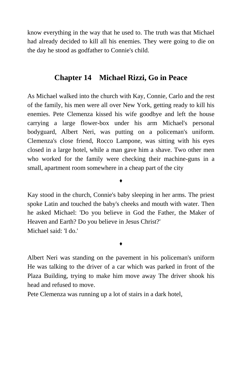<span id="page-47-0"></span>know everything in the way that he used to. The truth was that Michael had already decided to kill all his enemies. They were going to die on the day he stood as godfather to Connie's child.

# **Chapter 14 Michael Rizzi, Go in Peace**

As Michael walked into the church with Kay, Connie, Carlo and the rest of the family, his men were all over New York, getting ready to kill his enemies. Pete Clemenza kissed his wife goodbye and left the house carrying a large flower-box under his arm Michael's personal bodyguard, Albert Neri, was putting on a policeman's uniform. Clemenza's close friend, Rocco Lampone, was sitting with his eyes closed in a large hotel, while a man gave him a shave. Two other men who worked for the family were checking their machine-guns in a small, apartment room somewhere in a cheap part of the city

Kay stood in the church, Connie's baby sleeping in her arms. The priest spoke Latin and touched the baby's cheeks and mouth with water. Then he asked Michael: 'Do you believe in God the Father, the Maker of Heaven and Earth? Do you believe in Jesus Christ?' Michael said: 'I do.'

**♦**

Albert Neri was standing on the pavement in his policeman's uniform He was talking to the driver of a car which was parked in front of the Plaza Building, trying to make him move away The driver shook his head and refused to move.

**♦**

Pete Clemenza was running up a lot of stairs in a dark hotel,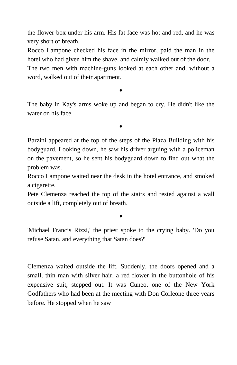the flower-box under his arm. His fat face was hot and red, and he was very short of breath.

Rocco Lampone checked his face in the mirror, paid the man in the hotel who had given him the shave, and calmly walked out of the door.

The two men with machine-guns looked at each other and, without a word, walked out of their apartment.

#### **♦**

The baby in Kay's arms woke up and began to cry. He didn't like the water on his face.

**♦**

Barzini appeared at the top of the steps of the Plaza Building with his bodyguard. Looking down, he saw his driver arguing with a policeman on the pavement, so he sent his bodyguard down to find out what the problem was.

Rocco Lampone waited near the desk in the hotel entrance, and smoked a cigarette.

Pete Clemenza reached the top of the stairs and rested against a wall outside a lift, completely out of breath.

#### **♦**

'Michael Francis Rizzi,' the priest spoke to the crying baby. 'Do you refuse Satan, and everything that Satan does?'

Clemenza waited outside the lift. Suddenly, the doors opened and a small, thin man with silver hair, a red flower in the buttonhole of his expensive suit, stepped out. It was Cuneo, one of the New York Godfathers who had been at the meeting with Don Corleone three years before. He stopped when he saw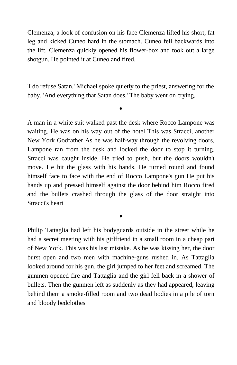Clemenza, a look of confusion on his face Clemenza lifted his short, fat leg and kicked Cuneo hard in the stomach. Cuneo fell backwards into the lift. Clemenza quickly opened his flower-box and took out a large shotgun. He pointed it at Cuneo and fired.

'I do refuse Satan,' Michael spoke quietly to the priest, answering for the baby. 'And everything that Satan does.' The baby went on crying.

**♦**

A man in a white suit walked past the desk where Rocco Lampone was waiting. He was on his way out of the hotel This was Stracci, another New York Godfather As he was half-way through the revolving doors, Lampone ran from the desk and locked the door to stop it turning. Stracci was caught inside. He tried to push, but the doors wouldn't move. He hit the glass with his hands. He turned round and found himself face to face with the end of Rocco Lampone's gun He put his hands up and pressed himself against the door behind him Rocco fired and the bullets crashed through the glass of the door straight into Stracci's heart

**♦**

Philip Tattaglia had left his bodyguards outside in the street while he had a secret meeting with his girlfriend in a small room in a cheap part of New York. This was his last mistake. As he was kissing her, the door burst open and two men with machine-guns rushed in. As Tattaglia looked around for his gun, the girl jumped to her feet and screamed. The gunmen opened fire and Tattaglia and the girl fell back in a shower of bullets. Then the gunmen left as suddenly as they had appeared, leaving behind them a smoke-filled room and two dead bodies in a pile of torn and bloody bedclothes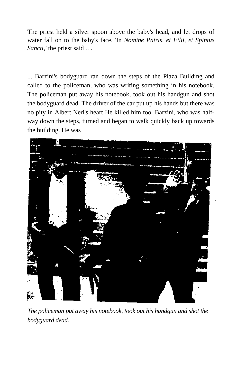The priest held a silver spoon above the baby's head, and let drops of water fall on to the baby's face. 'In *Nomine Patris, et Filii, et Spintus Sancti*,' the priest said ...

... Barzini's bodyguard ran down the steps of the Plaza Building and called to the policeman, who was writing something in his notebook. The policeman put away his notebook, took out his handgun and shot the bodyguard dead. The driver of the car put up his hands but there was no pity in Albert Neri's heart He killed him too. Barzini, who was halfway down the steps, turned and began to walk quickly back up towards the building. He was



*The policeman put away his notebook, took out his handgun and shot the bodyguard dead.*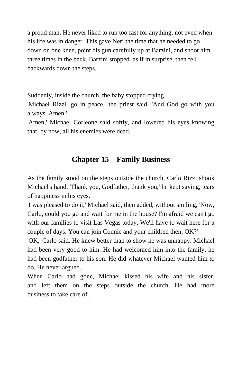<span id="page-51-0"></span>a proud man. He never liked to run too fast for anything, not even when his life was in danger. This gave Neri the time that he needed to go down on one knee, point his gun carefully up at Barzini, and shoot him three times in the back. Barzini stopped. as if in surprise, then fell backwards down the steps.

Suddenly, inside the church, the baby stopped crying.

'Michael Rizzi, go in peace,' the priest said. 'And God go with you always. Amen.'

'Amen,' Michael Corleone said softly, and lowered his eyes knowing that, by now, all his enemies were dead.

# **Chapter 15 Family Business**

As the family stood on the steps outside the church, Carlo Rizzi shook Michael's hand. 'Thank you, Godfather, thank you,' he kept saying, tears of happiness in his eyes.

'I was pleased to do it,' Michael said, then added, without smiling, 'Now, Carlo, could you go and wait for me in the house? I'm afraid we can't go with our families to visit Las Vegas today. We'll have to wait here for a couple of days. You can join Connie and your children then, OK?'

'OK,' Carlo said. He knew better than to show he was unhappy. Michael had been very good to him. He had welcomed him into the family, he had been godfather to his son. He did whatever Michael wanted him to do. He never argued.

When Carlo had gone, Michael kissed his wife and his sister, and left them on the steps outside the church. He had more business to take care of.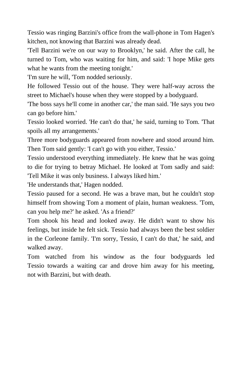Tessio was ringing Barzini's office from the wall-phone in Tom Hagen's kitchen, not knowing that Barzini was already dead.

'Tell Barzini we're on our way to Brooklyn,' he said. After the call, he turned to Tom, who was waiting for him, and said: 'I hope Mike gets what he wants from the meeting tonight.'

'I'm sure he will, 'Tom nodded seriously.

He followed Tessio out of the house. They were half-way across the street to Michael's house when they were stopped by a bodyguard.

'The boss says he'll come in another car,' the man said. 'He says you two can go before him.'

Tessio looked worried. 'He can't do that,' he said, turning to Tom. 'That spoils all my arrangements.'

Three more bodyguards appeared from nowhere and stood around him. Then Tom said gently: 'I can't go with you either, Tessio.'

Tessio understood everything immediately. He knew that he was going to die for trying to betray Michael. He looked at Tom sadly and said: 'Tell Mike it was only business. I always liked him.'

'He understands that,' Hagen nodded.

Tessio paused for a second. He was a brave man, but he couldn't stop himself from showing Tom a moment of plain, human weakness. 'Tom, can you help me?' he asked. 'As a friend?'

Tom shook his head and looked away. He didn't want to show his feelings, but inside he felt sick. Tessio had always been the best soldier in the Corleone family. 'I'm sorry, Tessio, I can't do that,' he said, and walked away.

Tom watched from his window as the four bodyguards led Tessio towards a waiting car and drove him away for his meeting, not with Barzini, but with death.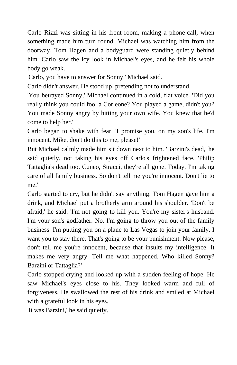Carlo Rizzi was sitting in his front room, making a phone-call, when something made him turn round. Michael was watching him from the doorway. Tom Hagen and a bodyguard were standing quietly behind him. Carlo saw the icy look in Michael's eyes, and he felt his whole body go weak.

'Carlo, you have to answer for Sonny,' Michael said.

Carlo didn't answer. He stood up, pretending not to understand.

'You betrayed Sonny,' Michael continued in a cold, flat voice. 'Did you really think you could fool a Corleone? You played a game, didn't you? You made Sonny angry by hitting your own wife. You knew that he'd come to help her.'

Carlo began to shake with fear. 'I promise you, on my son's life, I'm innocent. Mike, don't do this to me, please!'

But Michael calmly made him sit down next to him. 'Barzini's dead,' he said quietly, not taking his eyes off Carlo's frightened face. 'Philip Tattaglia's dead too. Cuneo, Stracci, they're all gone. Today, I'm taking care of all family business. So don't tell me you're innocent. Don't lie to me.'

Carlo started to cry, but he didn't say anything. Tom Hagen gave him a drink, and Michael put a brotherly arm around his shoulder. 'Don't be afraid,' he said. 'I'm not going to kill you. You're my sister's husband. I'm your son's godfather. No. I'm going to throw you out of the family business. I'm putting you on a plane to Las Vegas to join your family. I want you to stay there. That's going to be your punishment. Now please, don't tell me you're innocent, because that insults my intelligence. It makes me very angry. Tell me what happened. Who killed Sonny? Barzini or Tattaglia?'

Carlo stopped crying and looked up with a sudden feeling of hope. He saw Michael's eyes close to his. They looked warm and full of forgiveness. He swallowed the rest of his drink and smiled at Michael with a grateful look in his eyes.

'It was Barzini,' he said quietly.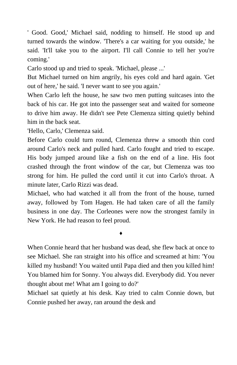' Good. Good,' Michael said, nodding to himself. He stood up and turned towards the window. 'There's a car waiting for you outside,' he said. 'It'll take you to the airport. I'll call Connie to tell her you're coming.'

Carlo stood up and tried to speak. 'Michael, please ...'

But Michael turned on him angrily, his eyes cold and hard again. 'Get out of here,' he said. 'I never want to see you again.'

When Carlo left the house, he saw two men putting suitcases into the back of his car. He got into the passenger seat and waited for someone to drive him away. He didn't see Pete Clemenza sitting quietly behind him in the back seat.

'Hello, Carlo,' Clemenza said.

Before Carlo could turn round, Clemenza threw a smooth thin cord around Carlo's neck and pulled hard. Carlo fought and tried to escape. His body jumped around like a fish on the end of a line. His foot crashed through the front window of the car, but Clemenza was too strong for him. He pulled the cord until it cut into Carlo's throat. A minute later, Carlo Rizzi was dead.

Michael, who had watched it all from the front of the house, turned away, followed by Tom Hagen. He had taken care of all the family business in one day. The Corleones were now the strongest family in New York. He had reason to feel proud.

When Connie heard that her husband was dead, she flew back at once to see Michael. She ran straight into his office and screamed at him: 'You killed my husband! You waited until Papa died and then you killed him! You blamed him for Sonny. You always did. Everybody did. You never thought about me! What am I going to do?'

Michael sat quietly at his desk. Kay tried to calm Connie down, but Connie pushed her away, ran around the desk and

**♦**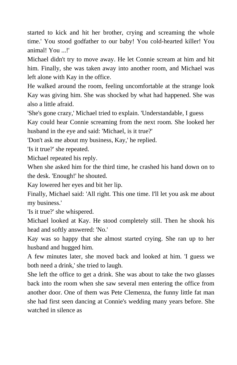started to kick and hit her brother, crying and screaming the whole time.' You stood godfather to our baby! You cold-hearted killer! You animal! You ...!'

Michael didn't try to move away. He let Connie scream at him and hit him. Finally, she was taken away into another room, and Michael was left alone with Kay in the office.

He walked around the room, feeling uncomfortable at the strange look Kay was giving him. She was shocked by what had happened. She was also a little afraid.

'She's gone crazy,' Michael tried to explain. 'Understandable, I guess

Kay could hear Connie screaming from the next room. She looked her husband in the eye and said: 'Michael, is it true?'

'Don't ask me about my business, Kay,' he replied.

'Is it true?' she repeated.

Michael repeated his reply.

When she asked him for the third time, he crashed his hand down on to the desk. 'Enough!' he shouted.

Kay lowered her eyes and bit her lip.

Finally, Michael said: 'All right. This one time. I'll let you ask me about my business.'

'Is it true?' she whispered.

Michael looked at Kay. He stood completely still. Then he shook his head and softly answered: 'No.'

Kay was so happy that she almost started crying. She ran up to her husband and hugged him.

A few minutes later, she moved back and looked at him. 'I guess we both need a drink,' she tried to laugh.

She left the office to get a drink. She was about to take the two glasses back into the room when she saw several men entering the office from another door. One of them was Pete Clemenza, the funny little fat man she had first seen dancing at Connie's wedding many years before. She watched in silence as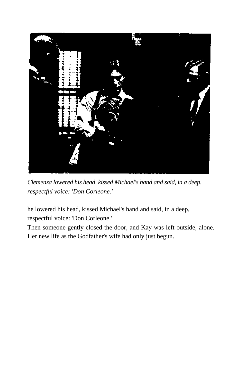

*Clemenza lowered his head, kissed Michael's hand and said, in a deep, respectful voice: 'Don Corleone.'*

he lowered his head, kissed Michael's hand and said, in a deep, respectful voice: 'Don Corleone.'

Then someone gently closed the door, and Kay was left outside, alone. Her new life as the Godfather's wife had only just begun.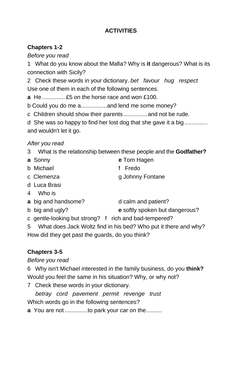# **ACTIVITIES**

## <span id="page-57-0"></span>**Chapters 1-2**

*Before you read*

1 What do you know about the Mafia? Why is **it** dangerous? What is its connection with Sicily?

2 Check these words in your dictionary. *bet favour hug respect* Use one of them in each of the following sentences.

**a** He .............. £5 on the horse race and won £100.

b Could you do me a................and lend me some money?

c Children should show their parents...............and not be rude.

d She was so happy to find her lost dog that she gave it a big .............. and wouldn't let it go.

## *After you read*

3 What is the relationship between these people and the **Godfather?** 

- **a** Sonny **e** Tom Hagen
- b Michael **b** Michael **f** Fredo
- c Clemenza g Johnny Fontane
- d Luca Brasi
- 4 Who is

**a** big and handsome? d calm and patient?

- 
- b big and ugly? **e** softly spoken but dangerous?
- c gentle-looking but strong? f rich and bad-tempered?

5 What does Jack Woltz find in his bed? Who put it there and why? How did they get past the guards, do you think?

# **Chapters 3-5**

## *Before you read*

6 Why isn't Michael interested in the family business, do you **think?**  Would you feel the same in his situation? Why, or why not?

7 Check these words in your dictionary.

 *betray cord pavement permit revenge trust*  Which words go in the following sentences?

**a** You are not ..............to park your car on the..........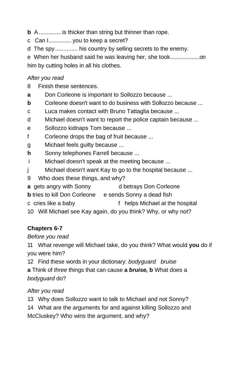- **b** A ............... is thicker than string but thinner than rope.
- c Can I.............. you to keep a secret?
- d The spy.............. his country by selling secrets to the enemy.

e When her husband said he was leaving her, she took..................on him by cutting holes in all his clothes.

## *After you read*

- 8 Finish these sentences.
- **a** Don Corleone is important to Sollozzo because ...
- **b** Corleone doesn't want to do business with Sollozzo because ...
- c Luca makes contact with Bruno Tattaglia because ...
- d Michael doesn't want to report the police captain because ...
- e Sollozzo kidnaps Tom because ...
- f Corleone drops the bag of fruit because ...
- g Michael feels guilty because ...
- **h** Sonny telephones Farrell because ...
- i Michael doesn't speak at the meeting because ...
- Michael doesn't want Kay to go to the hospital because ...
- 9 Who does these things, and why?
- **a** gets angry with Sonny d betrays Don Corleone
- **b** tries to kill Don Corleone e sends Sonny a dead fish
- c cries like a baby f helps Michael at the hospital
- 10 Will Michael see Kay again, do you think? Why, or why not?

# **Chapters 6-7**

## *Before you read*

11 What revenge will Michael take, do you think? What would **you** do if you were him?

12 Find these words in your dictionary: *bodyguard bruise* **a** Think of *three* things that can cause **a** *bruise,* **b** What does a *bodyguard* do?

# *After you read*

13 Why does Sollozzo want to talk to Michael and not Sonny?

14 What are the arguments for and against killing Sollozzo and McCluskey? Who wins the argument, and why?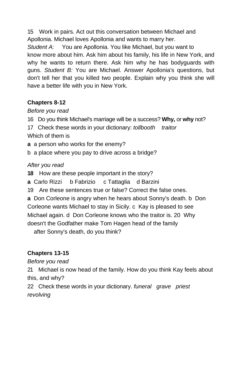15 Work in pairs. Act out this conversation between Michael and Apollonia. Michael loves Apollonia and wants to marry her.

*Student A:* You are Apollonia. You like Michael, but you want to know more about him. Ask him about his family, his life in New York, and why he wants to return there. Ask him why he has bodyguards with guns. *Student B:* You are Michael. Answer Apollonia's questions, but don't tell her that you killed two people. Explain why you think she will have a better life with you in New York.

## **Chapters 8-12**

## *Before you read*

16 Do you think Michael's marriage will be a success? **Why,** or **why** not?

17 Check these words in your dictionary: *tollbooth traitor*

Which of them is

**a** a person who works for the enemy?

b a place where you pay to drive across a bridge?

## *After you read*

**18** How are these people important in the story?

**a** Carlo Rizzi b Fabrizio c Tattaglia d Barzini

19 Are these sentences true or false? Correct the false ones.

**a** Don Corleone is angry when he hears about Sonny's death. b Don Corleone wants Michael to stay in Sicily. c Kay is pleased to see Michael again. d Don Corleone knows who the traitor is. 20 Why doesn't the Godfather make Tom Hagen head of the family

after Sonny's death, do you think?

## **Chapters 13-15**

*Before you read*

21 Michael is now head of the family. How do you think Kay feels about this, and why?

22 Check these words in your dictionary. *funeral grave priest revolving*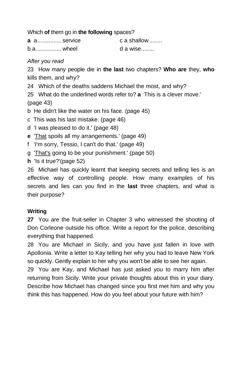Which **of** them go in **the following** spaces?

| a a service | c a shallow |
|-------------|-------------|
| b a wheel   | d a wise    |

## *After you read*

23 How many people die in **the last** two chapters? **Who are** they, **who**  kills them, and why?

24 Which of the deaths saddens Michael the most, and why?

25 What do the underlined words refer to? **a** This is a clever move.' (page 43)

b He didn't like the water on his face. (page 45)

c This was his last mistake. (page 46)

d 'I was pleased to do it.' (page 48)

**e** 'That spoils all my arrangements.' (page 49)

f 'I'm sorry, Tessio, I can't do that.' (page 49)

g 'That's going to be your punishment.' (page 50)

**h** 'Is it true?'(page 52)

26 Michael has quickly learnt that keeping secrets and telling lies is an effective way of controlling people. How many examples of his secrets and lies can you find in the **last** three chapters, and what is their purpose?

## **Writing**

**27** You are the fruit-seller in Chapter 3 who witnessed the shooting of Don Corleone outside his office. Write a report for the police, describing everything that happened.

28 You are Michael in Sicily, and you have just fallen in love with Apollonia. Write a letter to Kay telling her why you had to leave New York so quickly. Gently explain to her why you won't be able to see her again.

29 You are Kay, and Michael has just asked you to marry him after returning from Sicily. Write your private thoughts about this in your diary. Describe how Michael has changed since you first met him and why you think this has happened. How do you feel about your future with him?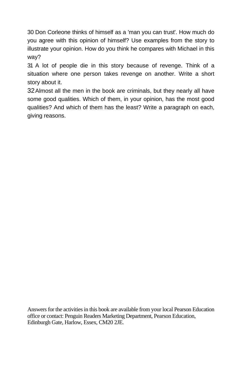30 Don Corleone thinks of himself as a 'man you can trust'. How much do you agree with this opinion of himself? Use examples from the story to illustrate your opinion. How do you think he compares with Michael in this way?

31 A lot of people die in this story because of revenge. Think of a situation where one person takes revenge on another. Write a short story about it.

32 Almost all the men in the book are criminals, but they nearly all have some good qualities. Which of them, in your opinion, has the most good qualities? And which of them has the least? Write a paragraph on each, giving reasons.

Answers for the activities in this book are available from your local Pearson Education office or contact: Penguin Readers Marketing Department, Pearson Education, Edinburgh Gate, Harlow, Essex, CM20 2JE.